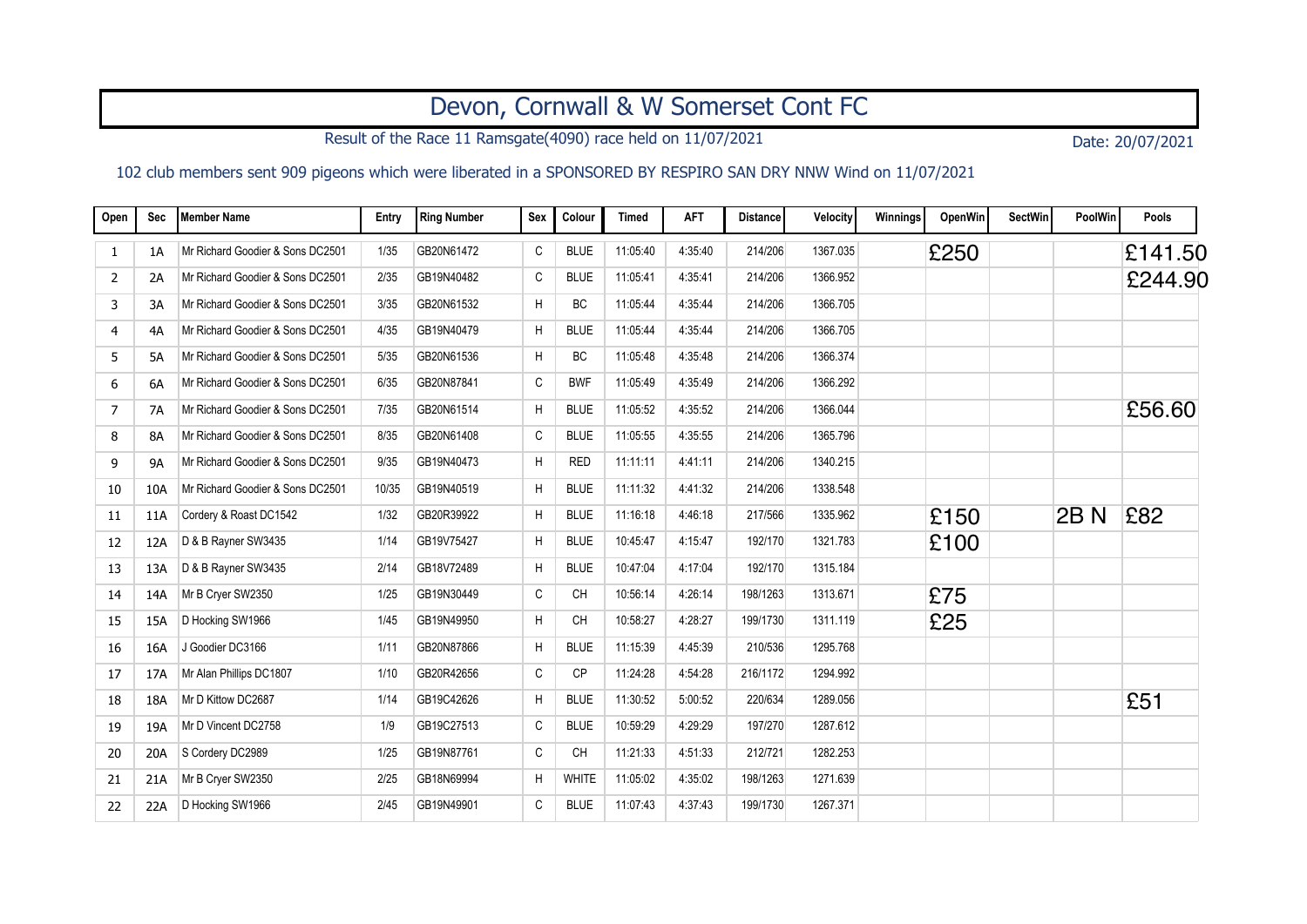## Devon, Cornwall & W Somerset Cont FC

Result of the Race 11 Ramsgate(4090) race held on 11/07/2021 Date: 20/07/2021

## 102 club members sent 909 pigeons which were liberated in a SPONSORED BY RESPIRO SAN DRY NNW Wind on 11/07/2021

| Open           | Sec       | Member Name                      | Entry | <b>Ring Number</b> | <b>Sex</b> | Colour      | <b>Timed</b> | <b>AFT</b> | <b>Distance</b> | Velocity | Winnings | OpenWin | <b>SectWin</b> | <b>PoolWin</b> | Pools   |
|----------------|-----------|----------------------------------|-------|--------------------|------------|-------------|--------------|------------|-----------------|----------|----------|---------|----------------|----------------|---------|
| 1              | 1A        | Mr Richard Goodier & Sons DC2501 | 1/35  | GB20N61472         | C          | <b>BLUE</b> | 11:05:40     | 4:35:40    | 214/206         | 1367.035 |          | £250    |                |                | £141.50 |
| $\overline{2}$ | 2A        | Mr Richard Goodier & Sons DC2501 | 2/35  | GB19N40482         | C          | <b>BLUE</b> | 11:05:41     | 4:35:41    | 214/206         | 1366.952 |          |         |                |                | £244.90 |
| 3              | 3A        | Mr Richard Goodier & Sons DC2501 | 3/35  | GB20N61532         | H          | BC          | 11:05:44     | 4:35:44    | 214/206         | 1366.705 |          |         |                |                |         |
| 4              | 4A        | Mr Richard Goodier & Sons DC2501 | 4/35  | GB19N40479         | H          | <b>BLUE</b> | 11:05:44     | 4:35:44    | 214/206         | 1366.705 |          |         |                |                |         |
| 5              | 5A        | Mr Richard Goodier & Sons DC2501 | 5/35  | GB20N61536         | H          | <b>BC</b>   | 11:05:48     | 4:35:48    | 214/206         | 1366.374 |          |         |                |                |         |
| 6              | 6A        | Mr Richard Goodier & Sons DC2501 | 6/35  | GB20N87841         | C          | <b>BWF</b>  | 11:05:49     | 4:35:49    | 214/206         | 1366.292 |          |         |                |                |         |
| 7              | <b>7A</b> | Mr Richard Goodier & Sons DC2501 | 7/35  | GB20N61514         | H          | <b>BLUE</b> | 11:05:52     | 4:35:52    | 214/206         | 1366.044 |          |         |                |                | £56.60  |
| 8              | 8A        | Mr Richard Goodier & Sons DC2501 | 8/35  | GB20N61408         | C          | <b>BLUE</b> | 11:05:55     | 4:35:55    | 214/206         | 1365.796 |          |         |                |                |         |
| 9              | 9A        | Mr Richard Goodier & Sons DC2501 | 9/35  | GB19N40473         | H          | <b>RED</b>  | 11:11:11     | 4:41:11    | 214/206         | 1340.215 |          |         |                |                |         |
| 10             | 10A       | Mr Richard Goodier & Sons DC2501 | 10/35 | GB19N40519         | H          | <b>BLUE</b> | 11:11:32     | 4:41:32    | 214/206         | 1338.548 |          |         |                |                |         |
| 11             | 11A       | Cordery & Roast DC1542           | 1/32  | GB20R39922         | H          | <b>BLUE</b> | 11:16:18     | 4 46 18    | 217/566         | 1335.962 |          | £150    |                | <b>2BN</b>     | £82     |
| 12             | 12A       | D & B Rayner SW3435              | 1/14  | GB19V75427         | H          | <b>BLUE</b> | 10:45:47     | 4:15:47    | 192/170         | 1321.783 |          | £100    |                |                |         |
| 13             | 13A       | D & B Rayner SW3435              | 2/14  | GB18V72489         | H          | <b>BLUE</b> | 10:47:04     | 4:17:04    | 192/170         | 1315.184 |          |         |                |                |         |
| 14             | 14A       | Mr B Cryer SW2350                | 1/25  | GB19N30449         | C          | <b>CH</b>   | 10:56:14     | 4:26:14    | 198/1263        | 1313.671 |          | £75     |                |                |         |
| 15             | 15A       | D Hocking SW1966                 | 1/45  | GB19N49950         | H          | <b>CH</b>   | 10:58:27     | 4:28:27    | 199/1730        | 1311.119 |          | £25     |                |                |         |
| 16             | 16A       | J Goodier DC3166                 | 1/11  | GB20N87866         | H          | <b>BLUE</b> | 11:15:39     | 4:45:39    | 210/536         | 1295.768 |          |         |                |                |         |
| 17             | 17A       | Mr Alan Phillips DC1807          | 1/10  | GB20R42656         | C          | <b>CP</b>   | 11:24:28     | 4:54:28    | 216/1172        | 1294.992 |          |         |                |                |         |
| 18             | 18A       | Mr D Kittow DC2687               | 1/14  | GB19C42626         | H          | <b>BLUE</b> | 11:30:52     | 5:00:52    | 220/634         | 1289.056 |          |         |                |                | £51     |
| 19             | 19A       | Mr D Vincent DC2758              | 1/9   | GB19C27513         | C          | <b>BLUE</b> | 10:59:29     | 4:29:29    | 197/270         | 1287.612 |          |         |                |                |         |
| 20             | 20A       | S Cordery DC2989                 | 1/25  | GB19N87761         | C          | <b>CH</b>   | 11:21:33     | 4.51.33    | 212/721         | 1282.253 |          |         |                |                |         |
| 21             | 21A       | Mr B Cryer SW2350                | 2/25  | GB18N69994         | H          | WHITE       | 11:05:02     | 4:35:02    | 198/1263        | 1271.639 |          |         |                |                |         |
| 22             | 22A       | D Hocking SW1966                 | 2/45  | GB19N49901         | C          | <b>BLUE</b> | 11:07:43     | 4:37:43    | 199/1730        | 1267.371 |          |         |                |                |         |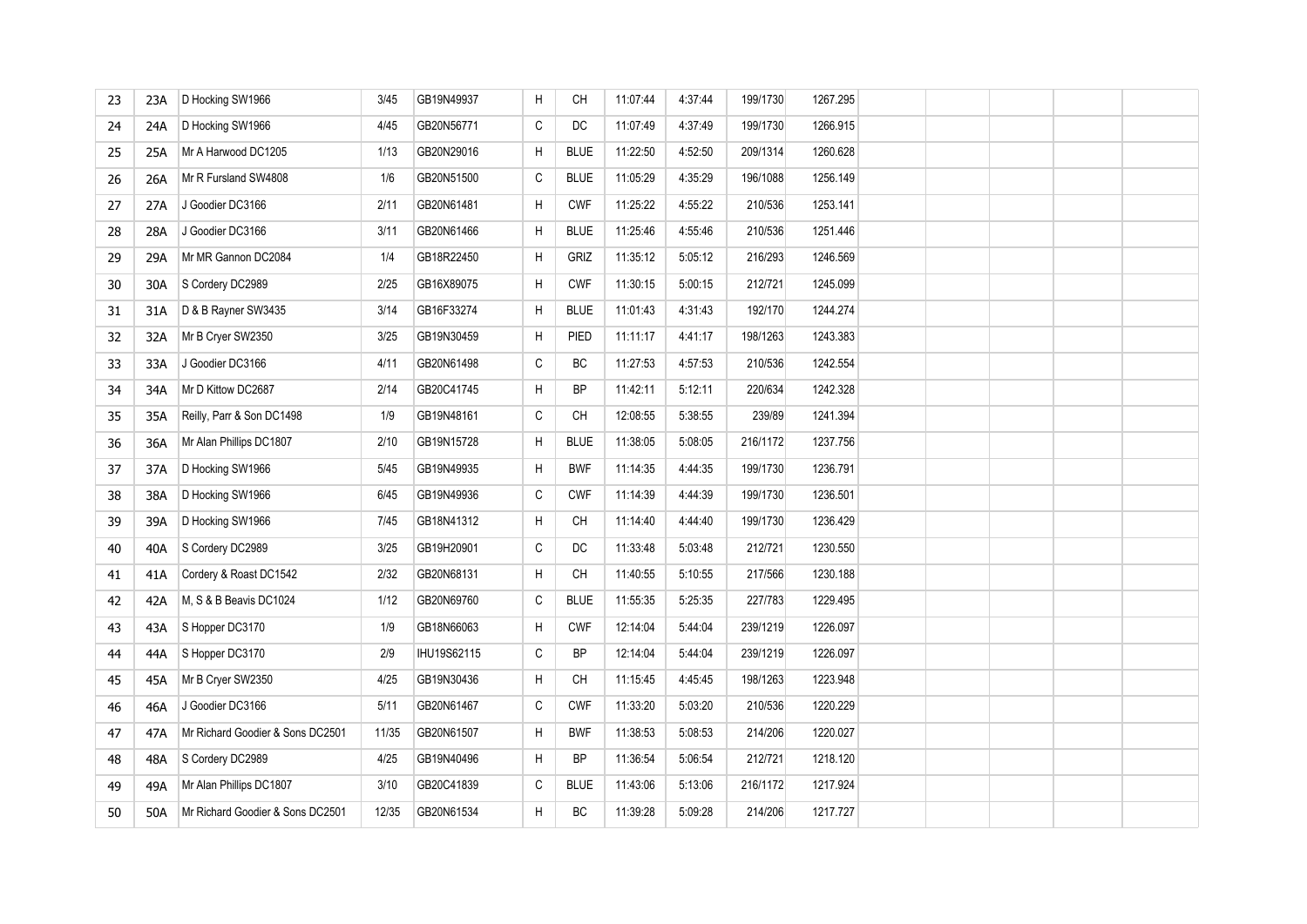| 23 | 23A | D Hocking SW1966                 | 3/45  | GB19N49937  | H            | CH          | 11:07:44 | 4:37:44 | 199/1730 | 1267.295 |  |  |  |
|----|-----|----------------------------------|-------|-------------|--------------|-------------|----------|---------|----------|----------|--|--|--|
| 24 | 24A | D Hocking SW1966                 | 4/45  | GB20N56771  | $\mathtt{C}$ | DC          | 11:07:49 | 4:37:49 | 199/1730 | 1266.915 |  |  |  |
| 25 | 25A | Mr A Harwood DC1205              | 1/13  | GB20N29016  | H            | <b>BLUE</b> | 11:22:50 | 4:52:50 | 209/1314 | 1260.628 |  |  |  |
| 26 | 26A | Mr R Fursland SW4808             | 1/6   | GB20N51500  | $\mathtt{C}$ | <b>BLUE</b> | 11:05:29 | 4:35:29 | 196/1088 | 1256.149 |  |  |  |
| 27 | 27A | J Goodier DC3166                 | 2/11  | GB20N61481  | Н            | <b>CWF</b>  | 11:25:22 | 4:55:22 | 210/536  | 1253.141 |  |  |  |
| 28 | 28A | J Goodier DC3166                 | 3/11  | GB20N61466  | Н            | <b>BLUE</b> | 11:25:46 | 4:55:46 | 210/536  | 1251.446 |  |  |  |
| 29 | 29A | Mr MR Gannon DC2084              | 1/4   | GB18R22450  | H            | GRIZ        | 11:35:12 | 5:05:12 | 216/293  | 1246.569 |  |  |  |
| 30 | 30A | S Cordery DC2989                 | 2/25  | GB16X89075  | H            | <b>CWF</b>  | 11:30:15 | 5:00:15 | 212/721  | 1245.099 |  |  |  |
| 31 | 31A | D & B Rayner SW3435              | 3/14  | GB16F33274  | H            | <b>BLUE</b> | 11:01:43 | 4:31:43 | 192/170  | 1244.274 |  |  |  |
| 32 | 32A | Mr B Cryer SW2350                | 3/25  | GB19N30459  | H            | PIED        | 11:11:17 | 4:41:17 | 198/1263 | 1243.383 |  |  |  |
| 33 | 33A | J Goodier DC3166                 | 4/11  | GB20N61498  | $\mathtt{C}$ | ВC          | 11:27:53 | 4:57:53 | 210/536  | 1242.554 |  |  |  |
| 34 | 34A | Mr D Kittow DC2687               | 2/14  | GB20C41745  | Н            | <b>BP</b>   | 11:42:11 | 5:12:11 | 220/634  | 1242.328 |  |  |  |
| 35 | 35A | Reilly, Parr & Son DC1498        | 1/9   | GB19N48161  | $\mathtt{C}$ | CH          | 12:08:55 | 5:38:55 | 239/89   | 1241.394 |  |  |  |
| 36 | 36A | Mr Alan Phillips DC1807          | 2/10  | GB19N15728  | $\sf H$      | <b>BLUE</b> | 11:38:05 | 5:08:05 | 216/1172 | 1237.756 |  |  |  |
| 37 | 37A | D Hocking SW1966                 | 5/45  | GB19N49935  | Н            | <b>BWF</b>  | 11:14:35 | 4:44:35 | 199/1730 | 1236.791 |  |  |  |
| 38 | 38A | D Hocking SW1966                 | 6/45  | GB19N49936  | $\mathtt{C}$ | <b>CWF</b>  | 11:14:39 | 4:44:39 | 199/1730 | 1236.501 |  |  |  |
| 39 | 39A | D Hocking SW1966                 | 7/45  | GB18N41312  | H            | <b>CH</b>   | 11:14:40 | 4:44:40 | 199/1730 | 1236.429 |  |  |  |
| 40 | 40A | S Cordery DC2989                 | 3/25  | GB19H20901  | $\mathtt{C}$ | DC          | 11:33:48 | 5:03:48 | 212/721  | 1230.550 |  |  |  |
| 41 | 41A | Cordery & Roast DC1542           | 2/32  | GB20N68131  | H            | CH          | 11:40:55 | 5:10:55 | 217/566  | 1230.188 |  |  |  |
| 42 | 42A | M, S & B Beavis DC1024           | 1/12  | GB20N69760  | $\mathtt{C}$ | <b>BLUE</b> | 11:55:35 | 5:25:35 | 227/783  | 1229.495 |  |  |  |
| 43 | 43A | S Hopper DC3170                  | 1/9   | GB18N66063  | $\sf H$      | <b>CWF</b>  | 12:14:04 | 5:44:04 | 239/1219 | 1226.097 |  |  |  |
| 44 | 44A | S Hopper DC3170                  | 2/9   | IHU19S62115 | $\mathtt{C}$ | <b>BP</b>   | 12:14:04 | 5.44.04 | 239/1219 | 1226.097 |  |  |  |
| 45 | 45A | Mr B Cryer SW2350                | 4/25  | GB19N30436  | H            | CH          | 11:15:45 | 4:45:45 | 198/1263 | 1223.948 |  |  |  |
| 46 | 46A | J Goodier DC3166                 | 5/11  | GB20N61467  | $\mathtt{C}$ | <b>CWF</b>  | 11:33:20 | 5:03:20 | 210/536  | 1220.229 |  |  |  |
| 47 | 47A | Mr Richard Goodier & Sons DC2501 | 11/35 | GB20N61507  | H            | <b>BWF</b>  | 11:38:53 | 5:08:53 | 214/206  | 1220.027 |  |  |  |
| 48 | 48A | S Cordery DC2989                 | 4/25  | GB19N40496  | H            | <b>BP</b>   | 11:36:54 | 5:06:54 | 212/721  | 1218.120 |  |  |  |
| 49 | 49A | Mr Alan Phillips DC1807          | 3/10  | GB20C41839  | $\mathtt{C}$ | <b>BLUE</b> | 11:43:06 | 5:13:06 | 216/1172 | 1217.924 |  |  |  |
| 50 | 50A | Mr Richard Goodier & Sons DC2501 | 12/35 | GB20N61534  | H.           | <b>BC</b>   | 11:39:28 | 5:09:28 | 214/206  | 1217.727 |  |  |  |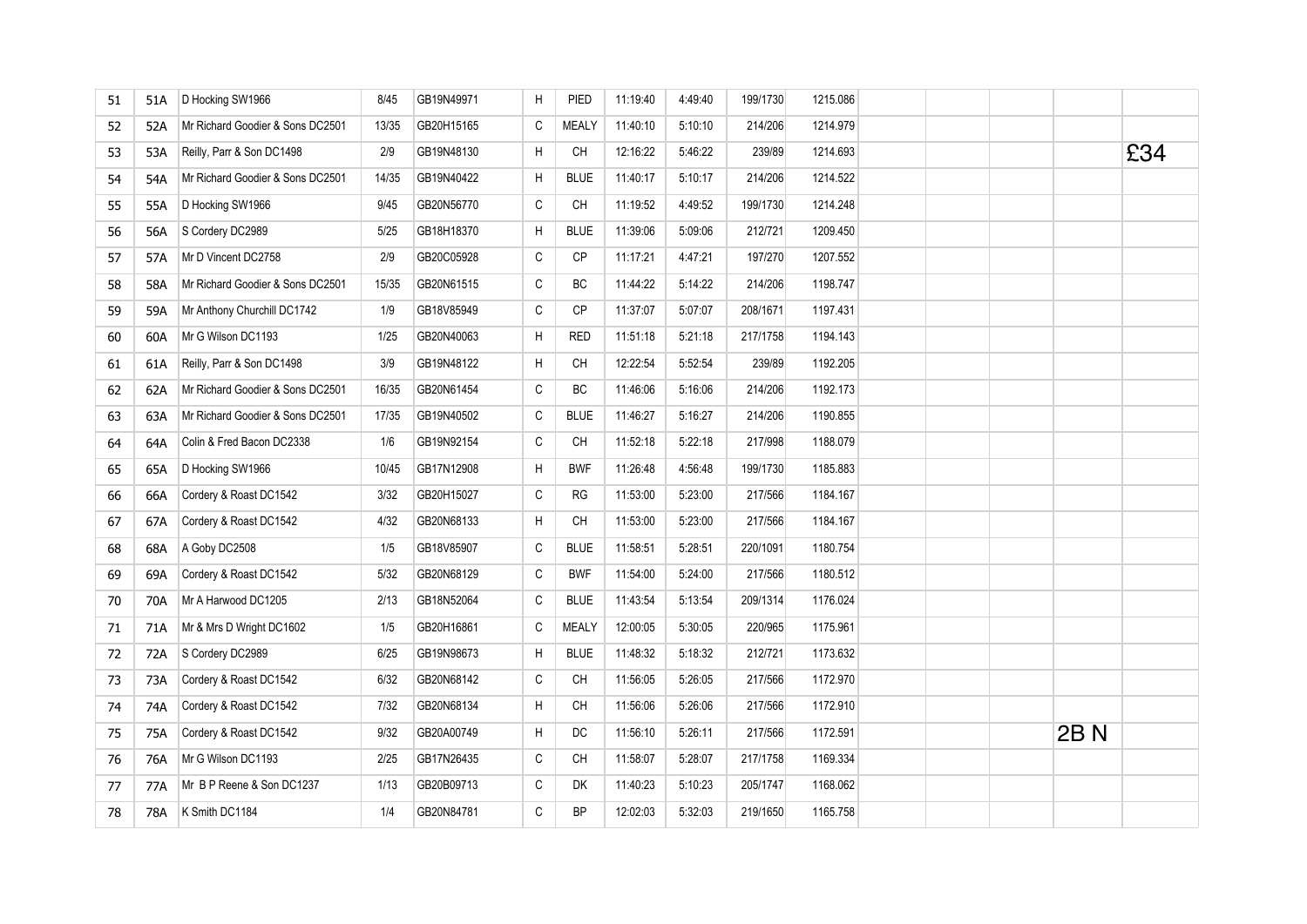| 51 | 51A | D Hocking SW1966                 | 8/45  | GB19N49971 | H            | PIED         | 11:19:40 | 4 49 40 | 199/1730 | 1215.086 |  |      |     |
|----|-----|----------------------------------|-------|------------|--------------|--------------|----------|---------|----------|----------|--|------|-----|
| 52 | 52A | Mr Richard Goodier & Sons DC2501 | 13/35 | GB20H15165 | C            | <b>MEALY</b> | 11:40:10 | 5:10:10 | 214/206  | 1214.979 |  |      |     |
| 53 | 53A | Reilly, Parr & Son DC1498        | 2/9   | GB19N48130 | H            | CH           | 12:16:22 | 5.46.22 | 239/89   | 1214.693 |  |      | £34 |
| 54 | 54A | Mr Richard Goodier & Sons DC2501 | 14/35 | GB19N40422 | H            | <b>BLUE</b>  | 11:40:17 | 5:10:17 | 214/206  | 1214.522 |  |      |     |
| 55 | 55A | D Hocking SW1966                 | 9/45  | GB20N56770 | $\mathsf C$  | CH           | 11:19:52 | 4 49 52 | 199/1730 | 1214.248 |  |      |     |
| 56 | 56A | S Cordery DC2989                 | 5/25  | GB18H18370 | H            | <b>BLUE</b>  | 11:39:06 | 5:09:06 | 212/721  | 1209.450 |  |      |     |
| 57 | 57A | Mr D Vincent DC2758              | 2/9   | GB20C05928 | C            | <b>CP</b>    | 11:17:21 | 4:47:21 | 197/270  | 1207.552 |  |      |     |
| 58 | 58A | Mr Richard Goodier & Sons DC2501 | 15/35 | GB20N61515 | C            | <b>BC</b>    | 11:44:22 | 5:14:22 | 214/206  | 1198.747 |  |      |     |
| 59 | 59A | Mr Anthony Churchill DC1742      | 1/9   | GB18V85949 | C            | <b>CP</b>    | 11:37:07 | 5:07:07 | 208/1671 | 1197.431 |  |      |     |
| 60 | 60A | Mr G Wilson DC1193               | 1/25  | GB20N40063 | H            | <b>RED</b>   | 11:51:18 | 5:21:18 | 217/1758 | 1194.143 |  |      |     |
| 61 | 61A | Reilly, Parr & Son DC1498        | 3/9   | GB19N48122 | H            | CH           | 12:22:54 | 5:52:54 | 239/89   | 1192.205 |  |      |     |
| 62 | 62A | Mr Richard Goodier & Sons DC2501 | 16/35 | GB20N61454 | C            | BC           | 11:46:06 | 5:16:06 | 214/206  | 1192.173 |  |      |     |
| 63 | 63A | Mr Richard Goodier & Sons DC2501 | 17/35 | GB19N40502 | C            | <b>BLUE</b>  | 11:46:27 | 5:16:27 | 214/206  | 1190.855 |  |      |     |
| 64 | 64A | Colin & Fred Bacon DC2338        | 1/6   | GB19N92154 | C            | CH           | 11:52:18 | 5:22:18 | 217/998  | 1188.079 |  |      |     |
| 65 | 65A | D Hocking SW1966                 | 10/45 | GB17N12908 | H            | <b>BWF</b>   | 11:26:48 | 4:56:48 | 199/1730 | 1185.883 |  |      |     |
| 66 | 66A | Cordery & Roast DC1542           | 3/32  | GB20H15027 | C            | RG           | 11:53:00 | 5:23:00 | 217/566  | 1184.167 |  |      |     |
| 67 | 67A | Cordery & Roast DC1542           | 4/32  | GB20N68133 | H            | CH           | 11:53:00 | 5:23:00 | 217/566  | 1184.167 |  |      |     |
| 68 | 68A | A Goby DC2508                    | 1/5   | GB18V85907 | C            | <b>BLUE</b>  | 11:58:51 | 5:28:51 | 220/1091 | 1180.754 |  |      |     |
| 69 | 69A | Cordery & Roast DC1542           | 5/32  | GB20N68129 | C            | <b>BWF</b>   | 11:54:00 | 5:24:00 | 217/566  | 1180.512 |  |      |     |
| 70 | 70A | Mr A Harwood DC1205              | 2/13  | GB18N52064 | C            | <b>BLUE</b>  | 11:43:54 | 5:13:54 | 209/1314 | 1176.024 |  |      |     |
| 71 | 71A | Mr & Mrs D Wright DC1602         | 1/5   | GB20H16861 | С            | <b>MEALY</b> | 12:00:05 | 5:30:05 | 220/965  | 1175.961 |  |      |     |
| 72 | 72A | S Cordery DC2989                 | 6/25  | GB19N98673 | H            | <b>BLUE</b>  | 11:48:32 | 5:18:32 | 212/721  | 1173.632 |  |      |     |
| 73 | 73A | Cordery & Roast DC1542           | 6/32  | GB20N68142 | C            | CH           | 11:56:05 | 5:26:05 | 217/566  | 1172.970 |  |      |     |
| 74 | 74A | Cordery & Roast DC1542           | 7/32  | GB20N68134 | H            | СH           | 11:56:06 | 5.26.06 | 217/566  | 1172.910 |  |      |     |
| 75 | 75A | Cordery & Roast DC1542           | 9/32  | GB20A00749 | H            | DC           | 11:56:10 | 5:26:11 | 217/566  | 1172.591 |  | 2B N |     |
| 76 | 76A | Mr G Wilson DC1193               | 2/25  | GB17N26435 | C            | CH           | 11:58:07 | 5:28:07 | 217/1758 | 1169.334 |  |      |     |
| 77 | 77A | Mr B P Reene & Son DC1237        | 1/13  | GB20B09713 | С            | DK           | 11:40:23 | 5:10:23 | 205/1747 | 1168.062 |  |      |     |
| 78 | 78A | K Smith DC1184                   | 1/4   | GB20N84781 | $\mathsf{C}$ | <b>BP</b>    | 12:02:03 | 5:32:03 | 219/1650 | 1165.758 |  |      |     |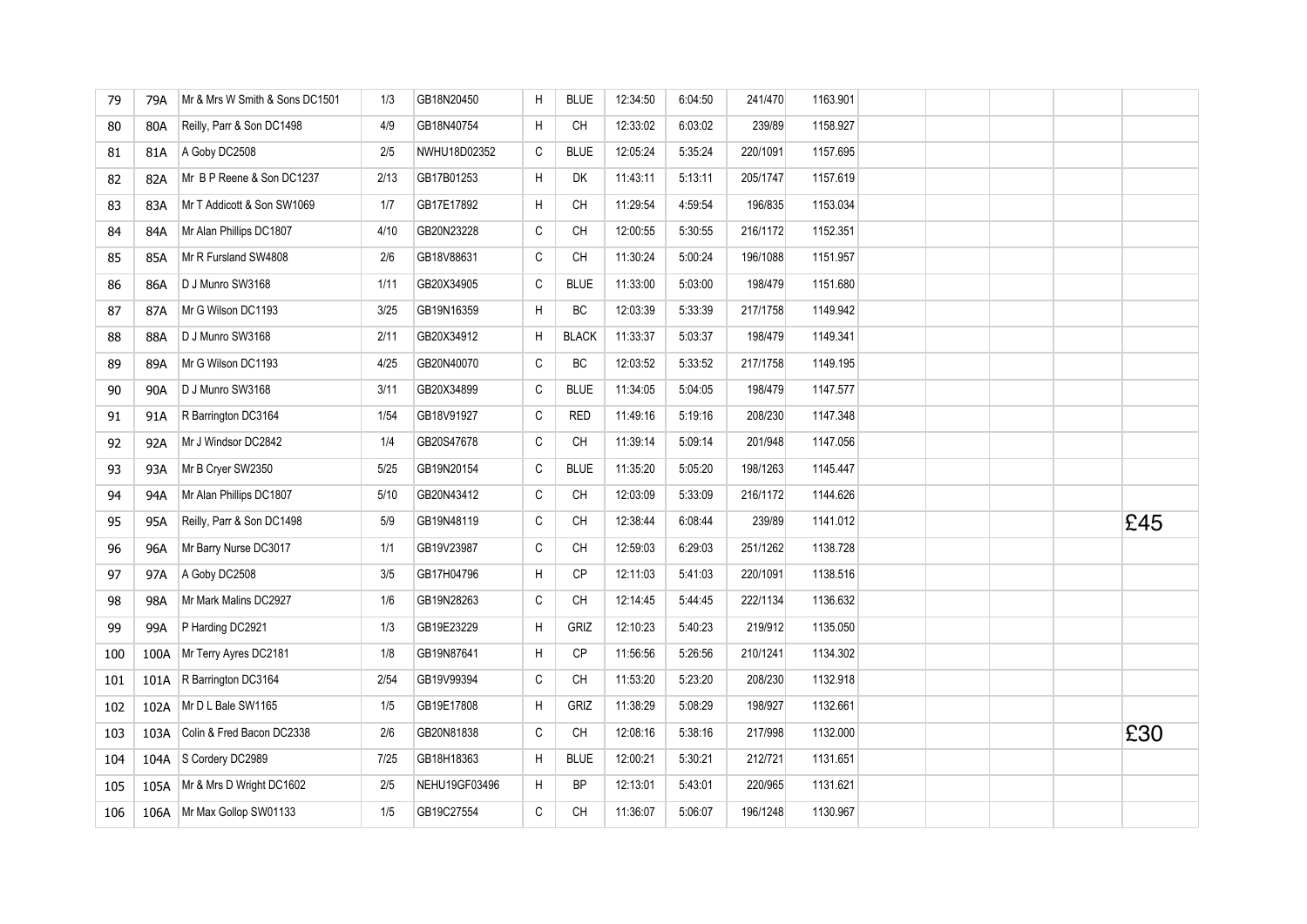| 79  | 79A  | Mr & Mrs W Smith & Sons DC1501 | 1/3  | GB18N20450    | H            | <b>BLUE</b>  | 12:34:50 | 6:04:50 | 241/470  | 1163.901 |  |  |     |
|-----|------|--------------------------------|------|---------------|--------------|--------------|----------|---------|----------|----------|--|--|-----|
| 80  | 80A  | Reilly, Parr & Son DC1498      | 4/9  | GB18N40754    | H            | CH           | 12:33:02 | 6:03:02 | 239/89   | 1158.927 |  |  |     |
| 81  | 81A  | A Goby DC2508                  | 2/5  | NWHU18D02352  | $\mathsf C$  | <b>BLUE</b>  | 12:05:24 | 5:35:24 | 220/1091 | 1157.695 |  |  |     |
| 82  | 82A  | Mr B P Reene & Son DC1237      | 2/13 | GB17B01253    | H            | DK           | 11:43:11 | 5:13:11 | 205/1747 | 1157.619 |  |  |     |
| 83  | 83A  | Mr T Addicott & Son SW1069     | 1/7  | GB17E17892    | H            | CH           | 11:29:54 | 4:59:54 | 196/835  | 1153.034 |  |  |     |
| 84  | 84A  | Mr Alan Phillips DC1807        | 4/10 | GB20N23228    | $\mathtt{C}$ | CH           | 12:00:55 | 5:30:55 | 216/1172 | 1152.351 |  |  |     |
| 85  | 85A  | Mr R Fursland SW4808           | 2/6  | GB18V88631    | $\mathtt{C}$ | CH           | 11:30:24 | 5:00:24 | 196/1088 | 1151.957 |  |  |     |
| 86  | 86A  | D J Munro SW3168               | 1/11 | GB20X34905    | $\mathtt{C}$ | <b>BLUE</b>  | 11:33:00 | 5:03:00 | 198/479  | 1151.680 |  |  |     |
| 87  | 87A  | Mr G Wilson DC1193             | 3/25 | GB19N16359    | H            | ВC           | 12:03:39 | 5:33:39 | 217/1758 | 1149.942 |  |  |     |
| 88  | 88A  | D J Munro SW3168               | 2/11 | GB20X34912    | H            | <b>BLACK</b> | 11:33:37 | 5:03:37 | 198/479  | 1149.341 |  |  |     |
| 89  | 89A  | Mr G Wilson DC1193             | 4/25 | GB20N40070    | С            | ВC           | 12:03:52 | 5:33:52 | 217/1758 | 1149.195 |  |  |     |
| 90  | 90A  | D J Munro SW3168               | 3/11 | GB20X34899    | $\mathtt{C}$ | <b>BLUE</b>  | 11:34:05 | 5:04:05 | 198/479  | 1147.577 |  |  |     |
| 91  | 91A  | R Barrington DC3164            | 1/54 | GB18V91927    | $\mathtt{C}$ | <b>RED</b>   | 11:49:16 | 5:19:16 | 208/230  | 1147.348 |  |  |     |
| 92  | 92A  | Mr J Windsor DC2842            | 1/4  | GB20S47678    | $\mathsf C$  | <b>CH</b>    | 11:39:14 | 5:09:14 | 201/948  | 1147.056 |  |  |     |
| 93  | 93A  | Mr B Cryer SW2350              | 5/25 | GB19N20154    | $\mathtt{C}$ | <b>BLUE</b>  | 11:35:20 | 5:05:20 | 198/1263 | 1145.447 |  |  |     |
| 94  | 94A  | Mr Alan Phillips DC1807        | 5/10 | GB20N43412    | $\mathtt{C}$ | CH           | 12:03:09 | 5:33:09 | 216/1172 | 1144.626 |  |  |     |
| 95  | 95A  | Reilly, Parr & Son DC1498      | 5/9  | GB19N48119    | $\mathtt{C}$ | <b>CH</b>    | 12:38:44 | 6:08:44 | 239/89   | 1141.012 |  |  | £45 |
| 96  | 96A  | Mr Barry Nurse DC3017          | 1/1  | GB19V23987    | С            | CH           | 12:59:03 | 6:29:03 | 251/1262 | 1138.728 |  |  |     |
| 97  | 97A  | A Goby DC2508                  | 3/5  | GB17H04796    | H            | СP           | 12:11:03 | 5:41:03 | 220/1091 | 1138.516 |  |  |     |
| 98  | 98A  | Mr Mark Malins DC2927          | 1/6  | GB19N28263    | C            | <b>CH</b>    | 12:14:45 | 5:44:45 | 222/1134 | 1136.632 |  |  |     |
| 99  | 99A  | P Harding DC2921               | 1/3  | GB19E23229    | H            | GRIZ         | 12:10:23 | 5:40:23 | 219/912  | 1135.050 |  |  |     |
| 100 | 100A | Mr Terry Ayres DC2181          | 1/8  | GB19N87641    | Н            | CP           | 11:56:56 | 5:26:56 | 210/1241 | 1134.302 |  |  |     |
| 101 | 101A | R Barrington DC3164            | 2/54 | GB19V99394    | C            | CH           | 11:53:20 | 5:23:20 | 208/230  | 1132.918 |  |  |     |
| 102 | 102A | Mr D L Bale SW1165             | 1/5  | GB19E17808    | H            | GRIZ         | 11:38:29 | 5:08:29 | 198/927  | 1132.661 |  |  |     |
| 103 | 103A | Colin & Fred Bacon DC2338      | 2/6  | GB20N81838    | C            | CH           | 12:08:16 | 5:38:16 | 217/998  | 1132.000 |  |  | £30 |
| 104 | 104A | S Cordery DC2989               | 7/25 | GB18H18363    | H            | <b>BLUE</b>  | 12:00:21 | 5:30:21 | 212/721  | 1131.651 |  |  |     |
| 105 | 105A | Mr & Mrs D Wright DC1602       | 2/5  | NEHU19GF03496 | H            | BP           | 12:13:01 | 5.43.01 | 220/965  | 1131.621 |  |  |     |
| 106 | 106A | Mr Max Gollop SW01133          | 1/5  | GB19C27554    | $\mathtt{C}$ | CH           | 11:36:07 | 5:06:07 | 196/1248 | 1130.967 |  |  |     |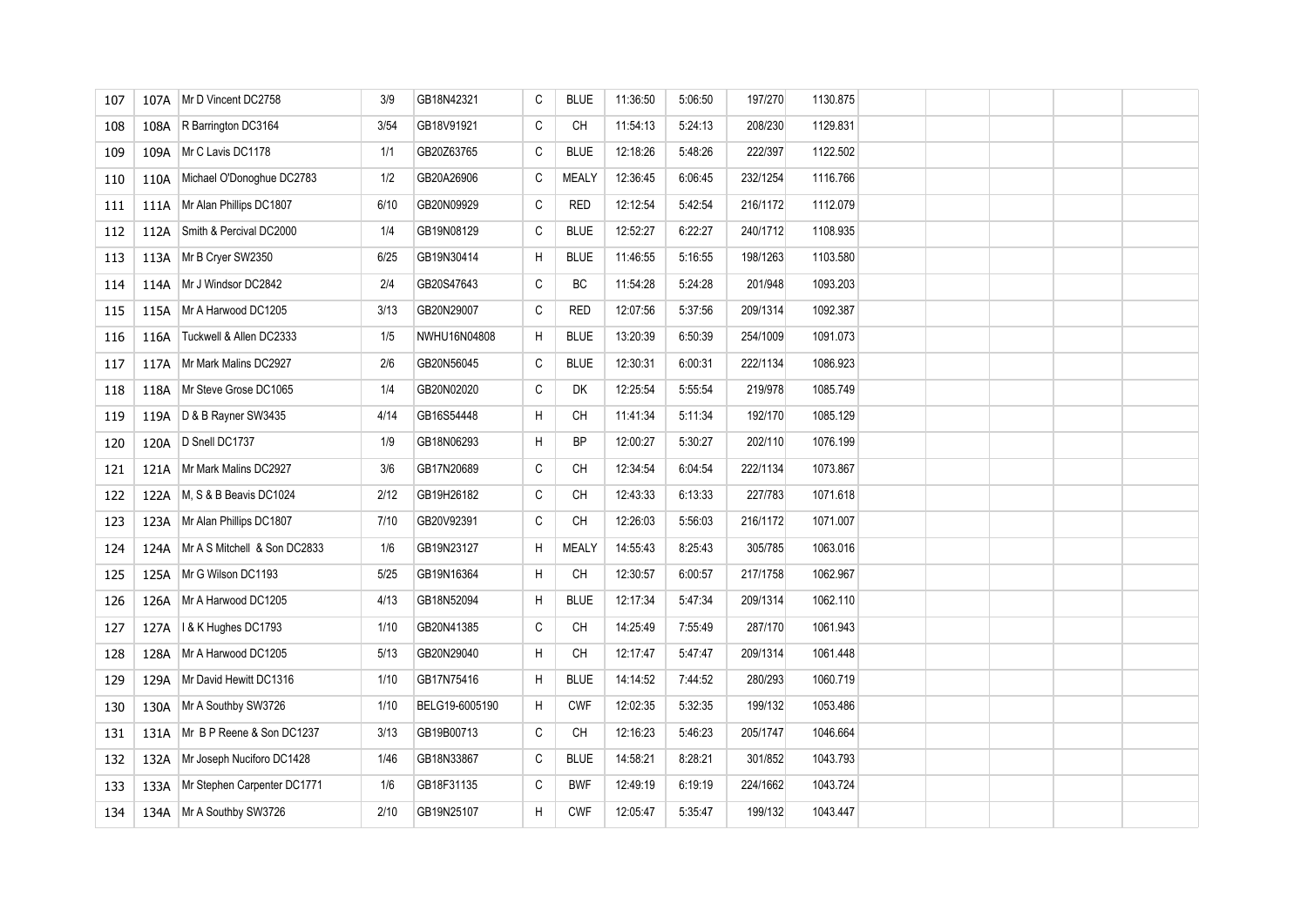| 107 | 107A | Mr D Vincent DC2758          | 3/9  | GB18N42321     | С | <b>BLUE</b>  | 11:36:50 | 5:06:50 | 197/270  | 1130.875 |  |  |  |
|-----|------|------------------------------|------|----------------|---|--------------|----------|---------|----------|----------|--|--|--|
| 108 | 108A | R Barrington DC3164          | 3/54 | GB18V91921     | C | <b>CH</b>    | 11:54:13 | 5:24:13 | 208/230  | 1129.831 |  |  |  |
| 109 | 109A | Mr C Lavis DC1178            | 1/1  | GB20Z63765     | С | <b>BLUE</b>  | 12:18:26 | 5:48:26 | 222/397  | 1122.502 |  |  |  |
| 110 | 110A | Michael O'Donoghue DC2783    | 1/2  | GB20A26906     | С | <b>MEALY</b> | 12:36:45 | 6:06:45 | 232/1254 | 1116.766 |  |  |  |
| 111 | 111A | Mr Alan Phillips DC1807      | 6/10 | GB20N09929     | С | <b>RED</b>   | 12:12:54 | 5.42.54 | 216/1172 | 1112.079 |  |  |  |
| 112 | 112A | Smith & Percival DC2000      | 1/4  | GB19N08129     | C | <b>BLUE</b>  | 12:52:27 | 6:22:27 | 240/1712 | 1108.935 |  |  |  |
| 113 | 113A | Mr B Cryer SW2350            | 6/25 | GB19N30414     | H | <b>BLUE</b>  | 11:46:55 | 5:16:55 | 198/1263 | 1103.580 |  |  |  |
| 114 | 114A | Mr J Windsor DC2842          | 2/4  | GB20S47643     | С | BC           | 11:54:28 | 5:24:28 | 201/948  | 1093.203 |  |  |  |
| 115 | 115A | Mr A Harwood DC1205          | 3/13 | GB20N29007     | С | <b>RED</b>   | 12:07:56 | 5:37:56 | 209/1314 | 1092.387 |  |  |  |
| 116 | 116A | Tuckwell & Allen DC2333      | 1/5  | NWHU16N04808   | H | <b>BLUE</b>  | 13:20:39 | 6:50:39 | 254/1009 | 1091.073 |  |  |  |
| 117 | 117A | Mr Mark Malins DC2927        | 2/6  | GB20N56045     | С | <b>BLUE</b>  | 12:30:31 | 6:00:31 | 222/1134 | 1086.923 |  |  |  |
| 118 | 118A | Mr Steve Grose DC1065        | 1/4  | GB20N02020     | С | DK           | 12:25:54 | 5.55.54 | 219/978  | 1085.749 |  |  |  |
| 119 | 119A | D & B Rayner SW3435          | 4/14 | GB16S54448     | H | CH           | 11:41:34 | 5:11:34 | 192/170  | 1085.129 |  |  |  |
| 120 | 120A | D Snell DC1737               | 1/9  | GB18N06293     | H | <b>BP</b>    | 12:00:27 | 5:30:27 | 202/110  | 1076.199 |  |  |  |
| 121 | 121A | Mr Mark Malins DC2927        | 3/6  | GB17N20689     | С | <b>CH</b>    | 12:34:54 | 6.04.54 | 222/1134 | 1073.867 |  |  |  |
| 122 | 122A | M, S & B Beavis DC1024       | 2/12 | GB19H26182     | C | CH           | 12:43:33 | 6:13:33 | 227/783  | 1071.618 |  |  |  |
| 123 | 123A | Mr Alan Phillips DC1807      | 7/10 | GB20V92391     | C | CH           | 12:26:03 | 5:56:03 | 216/1172 | 1071.007 |  |  |  |
| 124 | 124A | Mr A S Mitchell & Son DC2833 | 1/6  | GB19N23127     | H | <b>MEALY</b> | 14:55:43 | 8:25:43 | 305/785  | 1063.016 |  |  |  |
| 125 | 125A | Mr G Wilson DC1193           | 5/25 | GB19N16364     | H | CH           | 12:30:57 | 6:00:57 | 217/1758 | 1062.967 |  |  |  |
| 126 | 126A | Mr A Harwood DC1205          | 4/13 | GB18N52094     | H | <b>BLUE</b>  | 12:17:34 | 5:47:34 | 209/1314 | 1062.110 |  |  |  |
| 127 | 127A | I & K Hughes DC1793          | 1/10 | GB20N41385     | С | CH           | 14:25:49 | 7:55:49 | 287/170  | 1061.943 |  |  |  |
| 128 | 128A | Mr A Harwood DC1205          | 5/13 | GB20N29040     | H | СH           | 12:17:47 | 5:47:47 | 209/1314 | 1061.448 |  |  |  |
| 129 | 129A | Mr David Hewitt DC1316       | 1/10 | GB17N75416     | H | <b>BLUE</b>  | 14:14:52 | 7.44.52 | 280/293  | 1060.719 |  |  |  |
| 130 | 130A | Mr A Southby SW3726          | 1/10 | BELG19-6005190 | H | <b>CWF</b>   | 12:02:35 | 5:32:35 | 199/132  | 1053.486 |  |  |  |
| 131 | 131A | Mr B P Reene & Son DC1237    | 3/13 | GB19B00713     | C | CH           | 12:16:23 | 5:46:23 | 205/1747 | 1046.664 |  |  |  |
| 132 | 132A | Mr Joseph Nuciforo DC1428    | 1/46 | GB18N33867     | С | <b>BLUE</b>  | 14:58:21 | 8:28:21 | 301/852  | 1043.793 |  |  |  |
| 133 | 133A | Mr Stephen Carpenter DC1771  | 1/6  | GB18F31135     | С | <b>BWF</b>   | 12:49:19 | 6:19:19 | 224/1662 | 1043.724 |  |  |  |
| 134 |      | 134A Mr A Southby SW3726     | 2/10 | GB19N25107     | H | <b>CWF</b>   | 12:05:47 | 5:35:47 | 199/132  | 1043.447 |  |  |  |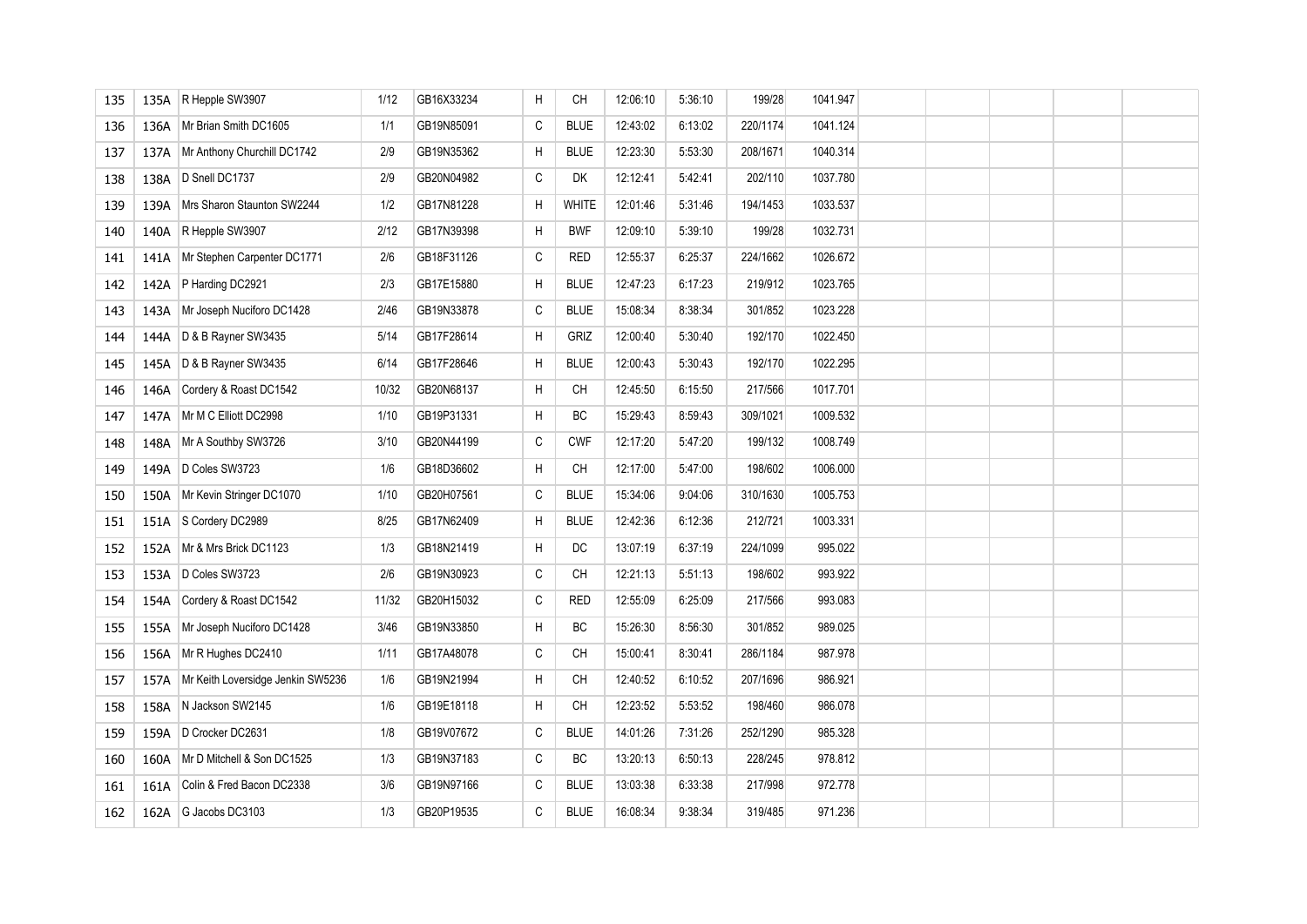| 135 | 135A | R Hepple SW3907                   | 1/12  | GB16X33234 | Н | <b>CH</b>    | 12:06:10 | 5:36:10 | 199/28   | 1041.947 |  |  |  |
|-----|------|-----------------------------------|-------|------------|---|--------------|----------|---------|----------|----------|--|--|--|
| 136 | 136A | Mr Brian Smith DC1605             | 1/1   | GB19N85091 | C | <b>BLUE</b>  | 12:43:02 | 6:13:02 | 220/1174 | 1041.124 |  |  |  |
| 137 | 137A | Mr Anthony Churchill DC1742       | 2/9   | GB19N35362 | Н | <b>BLUE</b>  | 12:23:30 | 5.53.30 | 208/1671 | 1040.314 |  |  |  |
| 138 | 138A | D Snell DC1737                    | 2/9   | GB20N04982 | C | DK           | 12:12:41 | 5 42:41 | 202/110  | 1037.780 |  |  |  |
| 139 | 139A | Mrs Sharon Staunton SW2244        | 1/2   | GB17N81228 | H | <b>WHITE</b> | 12:01:46 | 5:31:46 | 194/1453 | 1033.537 |  |  |  |
| 140 | 140A | R Hepple SW3907                   | 2/12  | GB17N39398 | H | <b>BWF</b>   | 12:09:10 | 5:39:10 | 199/28   | 1032.731 |  |  |  |
| 141 | 141A | Mr Stephen Carpenter DC1771       | 2/6   | GB18F31126 | С | <b>RED</b>   | 12:55:37 | 6:25:37 | 224/1662 | 1026.672 |  |  |  |
| 142 | 142A | P Harding DC2921                  | 2/3   | GB17E15880 | H | <b>BLUE</b>  | 12:47:23 | 6:17:23 | 219/912  | 1023.765 |  |  |  |
| 143 | 143A | Mr Joseph Nuciforo DC1428         | 2/46  | GB19N33878 | С | <b>BLUE</b>  | 15:08:34 | 8:38:34 | 301/852  | 1023.228 |  |  |  |
| 144 | 144A | D & B Rayner SW3435               | 5/14  | GB17F28614 | H | GRIZ         | 12:00:40 | 5:30:40 | 192/170  | 1022.450 |  |  |  |
| 145 | 145A | D & B Rayner SW3435               | 6/14  | GB17F28646 | H | <b>BLUE</b>  | 12:00:43 | 5:30:43 | 192/170  | 1022.295 |  |  |  |
| 146 | 146A | Cordery & Roast DC1542            | 10/32 | GB20N68137 | H | <b>CH</b>    | 12:45:50 | 6:15:50 | 217/566  | 1017.701 |  |  |  |
| 147 | 147A | Mr M C Elliott DC2998             | 1/10  | GB19P31331 | H | BC           | 15:29:43 | 8:59:43 | 309/1021 | 1009.532 |  |  |  |
| 148 | 148A | Mr A Southby SW3726               | 3/10  | GB20N44199 | С | <b>CWF</b>   | 12:17:20 | 5:47:20 | 199/132  | 1008.749 |  |  |  |
| 149 | 149A | D Coles SW3723                    | 1/6   | GB18D36602 | H | <b>CH</b>    | 12:17:00 | 5:47:00 | 198/602  | 1006.000 |  |  |  |
| 150 | 150A | Mr Kevin Stringer DC1070          | 1/10  | GB20H07561 | С | <b>BLUE</b>  | 15:34:06 | 9:04:06 | 310/1630 | 1005.753 |  |  |  |
| 151 | 151A | S Cordery DC2989                  | 8/25  | GB17N62409 | H | <b>BLUE</b>  | 12:42:36 | 6:12:36 | 212/721  | 1003.331 |  |  |  |
| 152 | 152A | Mr & Mrs Brick DC1123             | 1/3   | GB18N21419 | H | DC           | 13:07:19 | 6:37:19 | 224/1099 | 995.022  |  |  |  |
| 153 | 153A | D Coles SW3723                    | 2/6   | GB19N30923 | С | <b>CH</b>    | 12:21:13 | 5:51:13 | 198/602  | 993.922  |  |  |  |
| 154 | 154A | Cordery & Roast DC1542            | 11/32 | GB20H15032 | C | <b>RED</b>   | 12:55:09 | 6:25:09 | 217/566  | 993.083  |  |  |  |
| 155 | 155A | Mr Joseph Nuciforo DC1428         | 3/46  | GB19N33850 | H | BC           | 15:26:30 | 8:56:30 | 301/852  | 989.025  |  |  |  |
| 156 | 156A | Mr R Hughes DC2410                | 1/11  | GB17A48078 | С | <b>CH</b>    | 15:00:41 | 8:30:41 | 286/1184 | 987.978  |  |  |  |
| 157 | 157A | Mr Keith Loversidge Jenkin SW5236 | 1/6   | GB19N21994 | H | CH           | 12:40:52 | 6:10:52 | 207/1696 | 986.921  |  |  |  |
| 158 | 158A | N Jackson SW2145                  | 1/6   | GB19E18118 | H | <b>CH</b>    | 12:23:52 | 5:53:52 | 198/460  | 986.078  |  |  |  |
| 159 | 159A | D Crocker DC2631                  | 1/8   | GB19V07672 | C | <b>BLUE</b>  | 14:01:26 | 7:31:26 | 252/1290 | 985.328  |  |  |  |
| 160 | 160A | Mr D Mitchell & Son DC1525        | 1/3   | GB19N37183 | C | BC           | 13:20:13 | 6:50:13 | 228/245  | 978.812  |  |  |  |
| 161 | 161A | Colin & Fred Bacon DC2338         | 3/6   | GB19N97166 | С | <b>BLUE</b>  | 13:03:38 | 6:33:38 | 217/998  | 972.778  |  |  |  |
| 162 | 162A | G Jacobs DC3103                   | 1/3   | GB20P19535 | C | <b>BLUE</b>  | 16:08:34 | 9:38:34 | 319/485  | 971.236  |  |  |  |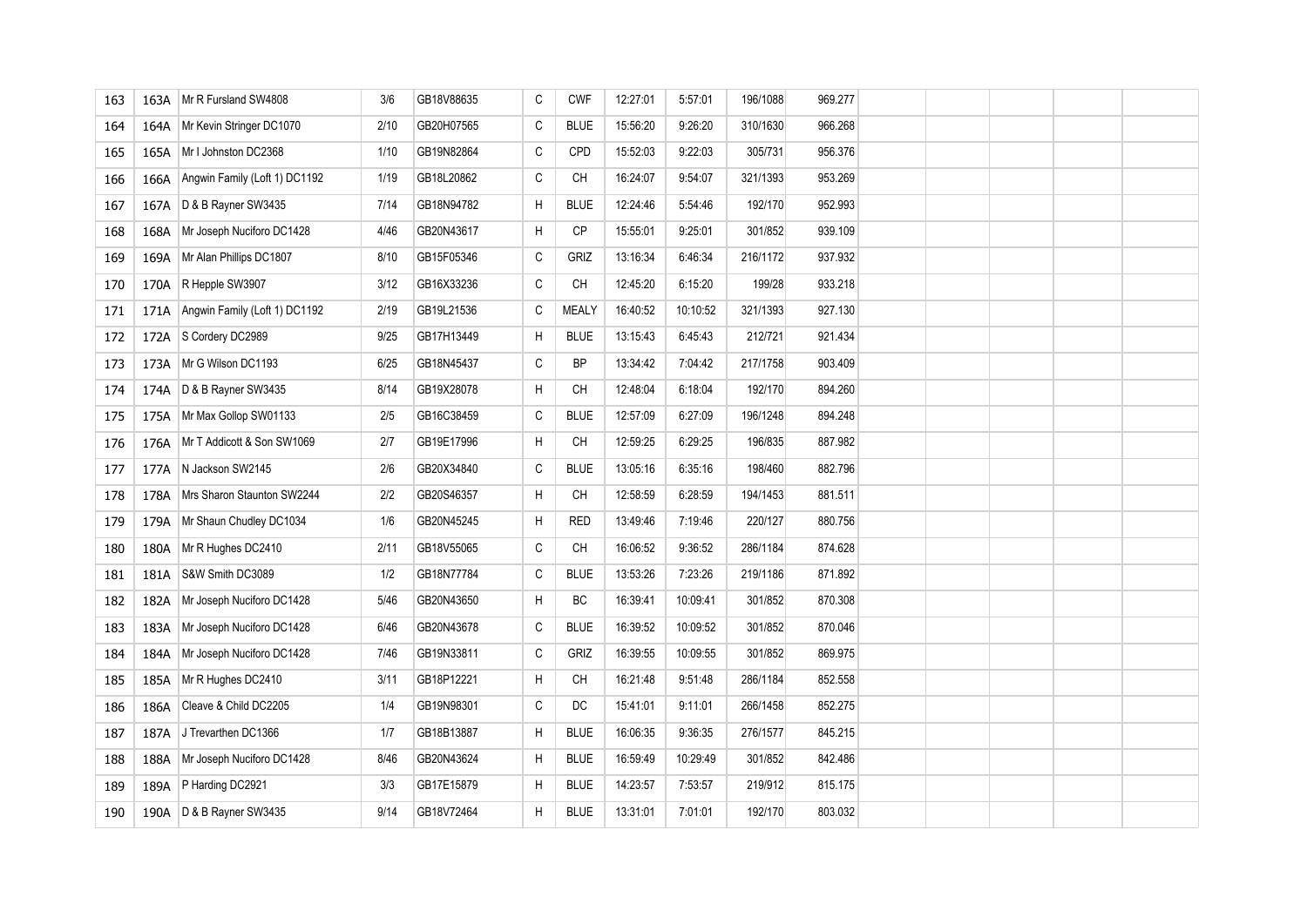| 163 | 163A | Mr R Fursland SW4808          | 3/6  | GB18V88635 | С | <b>CWF</b>   | 12:27:01 | 5.57:01  | 196/1088 | 969.277 |  |  |  |
|-----|------|-------------------------------|------|------------|---|--------------|----------|----------|----------|---------|--|--|--|
| 164 | 164A | Mr Kevin Stringer DC1070      | 2/10 | GB20H07565 | С | <b>BLUE</b>  | 15:56:20 | 9:26:20  | 310/1630 | 966.268 |  |  |  |
| 165 | 165A | Mr I Johnston DC2368          | 1/10 | GB19N82864 | C | CPD          | 15:52:03 | 9:22:03  | 305/731  | 956.376 |  |  |  |
| 166 | 166A | Angwin Family (Loft 1) DC1192 | 1/19 | GB18L20862 | C | CH           | 16:24:07 | 9:54:07  | 321/1393 | 953.269 |  |  |  |
| 167 | 167A | D & B Rayner SW3435           | 7/14 | GB18N94782 | H | <b>BLUE</b>  | 12:24:46 | 5:54:46  | 192/170  | 952.993 |  |  |  |
| 168 | 168A | Mr Joseph Nuciforo DC1428     | 4/46 | GB20N43617 | H | CP           | 15:55:01 | 9:25:01  | 301/852  | 939.109 |  |  |  |
| 169 | 169A | Mr Alan Phillips DC1807       | 8/10 | GB15F05346 | C | <b>GRIZ</b>  | 13:16:34 | 64634    | 216/1172 | 937.932 |  |  |  |
| 170 | 170A | R Hepple SW3907               | 3/12 | GB16X33236 | C | CH           | 12:45:20 | 6:15:20  | 199/28   | 933.218 |  |  |  |
| 171 | 171A | Angwin Family (Loft 1) DC1192 | 2/19 | GB19L21536 | С | <b>MEALY</b> | 16:40:52 | 10:10:52 | 321/1393 | 927.130 |  |  |  |
| 172 | 172A | S Cordery DC2989              | 9/25 | GB17H13449 | H | <b>BLUE</b>  | 13:15:43 | 6:45:43  | 212/721  | 921.434 |  |  |  |
| 173 | 173A | Mr G Wilson DC1193            | 6/25 | GB18N45437 | С | <b>BP</b>    | 13:34:42 | 7:04:42  | 217/1758 | 903.409 |  |  |  |
| 174 | 174A | D & B Rayner SW3435           | 8/14 | GB19X28078 | Н | СH           | 12:48:04 | 6:18:04  | 192/170  | 894.260 |  |  |  |
| 175 | 175A | Mr Max Gollop SW01133         | 2/5  | GB16C38459 | C | <b>BLUE</b>  | 12:57:09 | 6:27:09  | 196/1248 | 894.248 |  |  |  |
| 176 | 176A | Mr T Addicott & Son SW1069    | 2/7  | GB19E17996 | H | CH           | 12:59:25 | 6:29:25  | 196/835  | 887.982 |  |  |  |
| 177 | 177A | N Jackson SW2145              | 2/6  | GB20X34840 | С | <b>BLUE</b>  | 13:05:16 | 6:35:16  | 198/460  | 882.796 |  |  |  |
| 178 | 178A | Mrs Sharon Staunton SW2244    | 2/2  | GB20S46357 | H | CH           | 12:58:59 | 6:28:59  | 194/1453 | 881.511 |  |  |  |
| 179 | 179A | Mr Shaun Chudley DC1034       | 1/6  | GB20N45245 | H | <b>RED</b>   | 13:49:46 | 7:19:46  | 220/127  | 880.756 |  |  |  |
| 180 | 180A | Mr R Hughes DC2410            | 2/11 | GB18V55065 | C | CH           | 16:06:52 | 9:36:52  | 286/1184 | 874.628 |  |  |  |
| 181 | 181A | S&W Smith DC3089              | 1/2  | GB18N77784 | С | <b>BLUE</b>  | 13:53:26 | 7:23:26  | 219/1186 | 871.892 |  |  |  |
| 182 | 182A | Mr Joseph Nuciforo DC1428     | 5/46 | GB20N43650 | H | BC           | 16:39:41 | 10:09:41 | 301/852  | 870.308 |  |  |  |
| 183 | 183A | Mr Joseph Nuciforo DC1428     | 6/46 | GB20N43678 | С | <b>BLUE</b>  | 16:39:52 | 10:09:52 | 301/852  | 870.046 |  |  |  |
| 184 | 184A | Mr Joseph Nuciforo DC1428     | 7/46 | GB19N33811 | С | <b>GRIZ</b>  | 16:39:55 | 10:09:55 | 301/852  | 869.975 |  |  |  |
| 185 | 185A | Mr R Hughes DC2410            | 3/11 | GB18P12221 | H | CH           | 16:21:48 | 9:51:48  | 286/1184 | 852.558 |  |  |  |
| 186 | 186A | Cleave & Child DC2205         | 1/4  | GB19N98301 | С | DC           | 15:41:01 | 9:11:01  | 266/1458 | 852.275 |  |  |  |
| 187 | 187A | J Trevarthen DC1366           | 1/7  | GB18B13887 | H | <b>BLUE</b>  | 16:06:35 | 9:36:35  | 276/1577 | 845.215 |  |  |  |
| 188 | 188A | Mr Joseph Nuciforo DC1428     | 8/46 | GB20N43624 | Н | <b>BLUE</b>  | 16:59:49 | 10:29:49 | 301/852  | 842.486 |  |  |  |
| 189 | 189A | P Harding DC2921              | 3/3  | GB17E15879 | Н | <b>BLUE</b>  | 14:23:57 | 7:53:57  | 219/912  | 815.175 |  |  |  |
| 190 | 190A | D & B Rayner SW3435           | 9/14 | GB18V72464 | H | <b>BLUE</b>  | 13:31:01 | 7:01:01  | 192/170  | 803.032 |  |  |  |